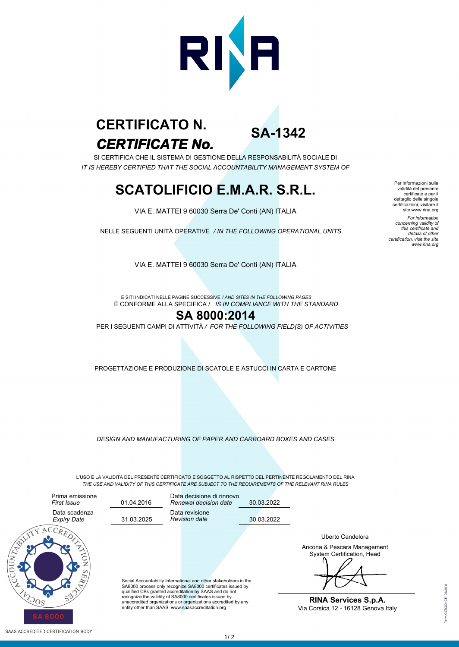

# *CERTIFICATE No.* **CERTIFICATO N.**

**SA-1342**

SI CERTIFICA CHE IL SISTEMA DI GESTIONE DELLA RESPONSABILITÀ SOCIALE DI *IT IS HEREBY CERTIFIED THAT THE SOCIAL ACCOUNTABILITY MANAGEMENT SYSTEM OF*

## **SCATOLIFICIO E.M.A.R. S.R.L.**

VIA E. MATTEI 9 60030 Serra De' Conti (AN) ITALIA

NELLE SEGUENTI UNITÀ OPERATIVE */ IN THE FOLLOWING OPERATIONAL UNITS*

Per informazioni sulla validità del presente certificato e per il dettaglio delle singole certificazioni, visitare il sito www.rina.org *For information concerning validity of this certificate and details of other certification, visit the site www.rina.org*

VIA E. MATTEI 9 60030 Serra De' Conti (AN) ITALIA

È CONFORME ALLA SPECIFICA / *IS IN COMPLIANCE WITH THE STANDARD* E SITI INDICATI NELLE PAGINE SUCCESSIVE */ AND SITES IN THE FOLLOWING PAGES*

#### **SA 8000:2014**

PER I SEGUENTI CAMPI DI ATTIVITÀ */ FOR THE FOLLOWING FIELD(S) OF ACTIVITIES*

PROGETTAZIONE E PRODUZIONE DI SCATOLE E ASTUCCI IN CARTA E CARTONE

*DESIGN AND MANUFACTURING OF PAPER AND CARBOARD BOXES AND CASES*

L'USO E LA VALIDITÀ DEL PRESENTE CERTIFICATO È SOGGETTO AL RISPETTO DEL PERTINENTE REGOLAMENTO DEL RINA *THE USE AND VALIDITY OF THIS CERTIFICATE ARE SUBJECT TO THE REQUIREMENTS OF THE RELEVANT RINA RULES*



Data revisione *Revision date* Data decisione di rinnovo *Renewal decision date*

30.03.2022

30.03.2022

Social Accountability International and other stakeholders in the SA8000 process only recognize SA8000 certificates issued by qualified CBs granted accreditation by SAAS and do not recognize the validity of SA8000 certificates issued by unaccredited organizations or organizations accredited by any entity other than SAAS. www.saasaccreditation.org

Ancona & Pescara Management System Certification, Head Uberto Candelora

**RINA Services S.p.A.** Via Corsica 12 - 16128 Genova Italy

 $1/2$